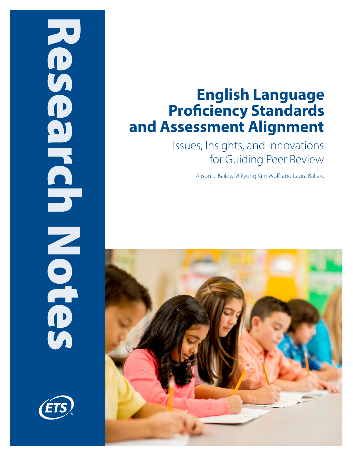# Research Notes NONDENINGE



# **English Language Proficiency Standards and Assessment Alignment**

Issues, Insights, and Innovations for Guiding Peer Review

Alison L. Bailey, Mikyung Kim Wolf, and Laura Ballard

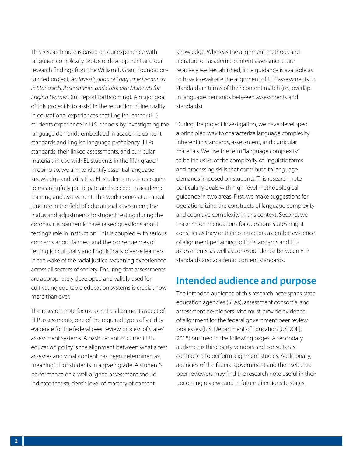This research note is based on our experience with language complexity protocol development and our research findings from the William T. Grant Foundationfunded project, *An Investigation of Language Demands in Standards, Assessments, and Curricular Materials for English Learners* (full report forthcoming). A major goal of this project is to assist in the reduction of inequality in educational experiences that English learner (EL) students experience in U.S. schools by investigating the language demands embedded in academic content standards and English language proficiency (ELP) standards, their linked assessments, and curricular materials in use with EL students in the fifth grade.<sup>1</sup> In doing so, we aim to identify essential language knowledge and skills that EL students need to acquire to meaningfully participate and succeed in academic learning and assessment. This work comes at a critical juncture in the field of educational assessment; the hiatus and adjustments to student testing during the coronavirus pandemic have raised questions about testing's role in instruction. This is coupled with serious concerns about fairness and the consequences of testing for culturally and linguistically diverse learners in the wake of the racial justice reckoning experienced across all sectors of society. Ensuring that assessments are appropriately developed and validly used for cultivating equitable education systems is crucial, now more than ever.

The research note focuses on the alignment aspect of ELP assessments, one of the required types of validity evidence for the federal peer review process of states' assessment systems. A basic tenant of current U.S. education policy is the alignment between what a test assesses and what content has been determined as meaningful for students in a given grade. A student's performance on a well-aligned assessment should indicate that student's level of mastery of content

knowledge. Whereas the alignment methods and literature on academic content assessments are relatively well-established, little guidance is available as to how to evaluate the alignment of ELP assessments to standards in terms of their content match (i.e., overlap in language demands between assessments and standards).

During the project investigation, we have developed a principled way to characterize language complexity inherent in standards, assessment, and curricular materials. We use the term "language complexity" to be inclusive of the complexity of linguistic forms and processing skills that contribute to language demands imposed on students. This research note particularly deals with high-level methodological guidance in two areas: First, we make suggestions for operationalizing the constructs of language complexity and cognitive complexity in this context. Second, we make recommendations for questions states might consider as they or their contractors assemble evidence of alignment pertaining to ELP standards and ELP assessments, as well as correspondence between ELP standards and academic content standards.

### **Intended audience and purpose**

The intended audience of this research note spans state education agencies (SEAs), assessment consortia, and assessment developers who must provide evidence of alignment for the federal government peer review processes (U.S. Department of Education [USDOE], 2018) outlined in the following pages. A secondary audience is third-party vendors and consultants contracted to perform alignment studies. Additionally, agencies of the federal government and their selected peer reviewers may find the research note useful in their upcoming reviews and in future directions to states.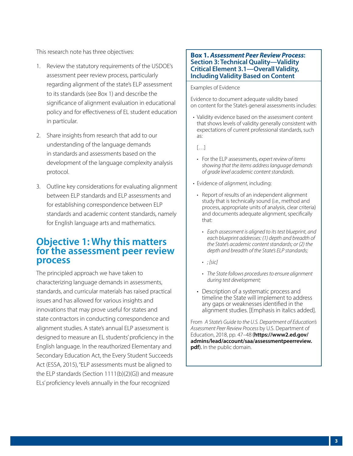This research note has three objectives:

- 1. Review the statutory requirements of the USDOE's assessment peer review process, particularly regarding alignment of the state's ELP assessment to its standards (see Box 1) and describe the significance of alignment evaluation in educational policy and for effectiveness of EL student education in particular.
- 2. Share insights from research that add to our understanding of the language demands in standards and assessments based on the development of the language complexity analysis protocol.
- 3. Outline key considerations for evaluating alignment between ELP standards and ELP assessments and for establishing correspondence between ELP standards and academic content standards, namely for English language arts and mathematics.

### **Objective 1: Why this matters for the assessment peer review process**

The principled approach we have taken to characterizing language demands in assessments, standards, and curricular materials has raised practical issues and has allowed for various insights and innovations that may prove useful for states and state contractors in conducting correspondence and alignment studies. A state's annual ELP assessment is designed to measure an EL students' proficiency in the English language. In the reauthorized Elementary and Secondary Education Act, the Every Student Succeeds Act (ESSA, 2015), "ELP assessments must be aligned to the ELP standards (Section 1111(b)(2)(G)) and measure ELs' proficiency levels annually in the four recognized

### **Box 1.** *Assessment Peer Review Process***: Section 3: Technical Quality—Validity Critical Element 3.1—Overall Validity, Including Validity Based on Content**

Examples of Evidence

Evidence to document adequate validity based on content for the State's general assessments includes:

• Validity evidence based on the assessment content that shows levels of validity generally consistent with expectations of current professional standards, such as:

 $[...]$ 

- For the ELP assessments, *expert review of items showing that the items address language demands of grade level academic content standards*.
- Evidence of *alignment*, including:
	- Report of results of an independent alignment study that is technically sound (i.e., method and process, appropriate units of analysis, clear criteria) and documents adequate alignment, specifically that:
		- *• Each assessment is aligned to its test blueprint, and each blueprint addresses: (1) depth and breadth of the State's academic content standards; or (2) the depth and breadth of the State's ELP standards;*
		- *• ; [sic]*
		- *• The State follows procedures to ensure alignment during test development;*
	- Description of a systematic process and timeline the State will implement to address any gaps or weaknesses identified in the alignment studies. [Emphasis in italics added].

From *A State's Guide to the U.S. Department of Education's Assessment Peer Review Process* by U.S. Department of Education, 2018, pp. 47–48 (**[https://www2.ed.gov/](https://www2.ed.gov/admins/lead/account/saa/assessmentpeerreview.pdf) [admins/lead/account/saa/assessmentpeerreview.](https://www2.ed.gov/admins/lead/account/saa/assessmentpeerreview.pdf) [pdf](https://www2.ed.gov/admins/lead/account/saa/assessmentpeerreview.pdf)**). In the public domain.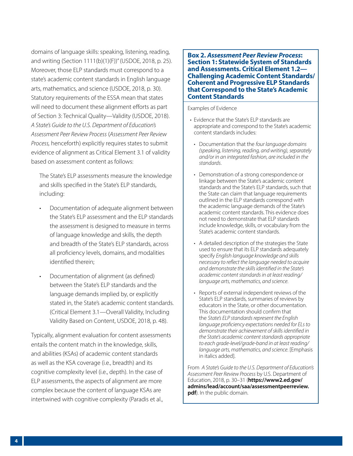domains of language skills: speaking, listening, reading, and writing (Section 1111(b)(1)(F))" (USDOE, 2018, p. 25). Moreover, those ELP standards must correspond to a state's academic content standards in English language arts, mathematics, and science (USDOE, 2018, p. 30). Statutory requirements of the ESSA mean that states will need to document these alignment efforts as part of Section 3: Technical Quality—Validity (USDOE, 2018). *A State's Guide to the U.S. Department of Education's Assessment Peer Review Process* (*Assessment Peer Review Process,* henceforth) explicitly requires states to submit evidence of alignment as Critical Element 3.1 of validity based on assessment content as follows:

The State's ELP assessments measure the knowledge and skills specified in the State's ELP standards, including:

- Documentation of adequate alignment between the State's ELP assessment and the ELP standards the assessment is designed to measure in terms of language knowledge and skills, the depth and breadth of the State's ELP standards, across all proficiency levels, domains, and modalities identified therein;
- Documentation of alignment (as defined) between the State's ELP standards and the language demands implied by, or explicitly stated in, the State's academic content standards. (Critical Element 3.1—Overall Validity, Including Validity Based on Content, USDOE, 2018, p. 48).

Typically, alignment evaluation for content assessments entails the content match in the knowledge, skills, and abilities (KSAs) of academic content standards as well as the KSA coverage (i.e., breadth) and its cognitive complexity level (i.e., depth). In the case of ELP assessments, the aspects of alignment are more complex because the content of language KSAs are intertwined with cognitive complexity (Paradis et al.,

**Box 2.** *Assessment Peer Review Process***: Section 1: Statewide System of Standards and Assessments. Critical Element 1.2— Challenging Academic Content Standards/ Coherent and Progressive ELP Standards that Correspond to the State's Academic Content Standards**

### Examples of Evidence

- Evidence that the State's ELP standards are appropriate and correspond to the State's academic content standards includes:
	- Documentation that the *four language domains (speaking, listening, reading, and writing), separately and/or in an integrated fashion, are included in the standards*.
- Demonstration of a strong correspondence or linkage between the State's academic content standards and the State's ELP standards, such that the State can claim that language requirements outlined in the ELP standards correspond with the academic language demands of the State's academic content standards. This evidence does not need to demonstrate that ELP standards include knowledge, skills, or vocabulary from the State's academic content standards.
- A detailed description of the strategies the State used to ensure that its ELP standards adequately specify *English language knowledge and skills necessary to reflect the language needed to acquire and demonstrate the skills identified in the State's academic content standards in at least reading/ language arts, mathematics, and science*.
- Reports of external independent reviews of the State's ELP standards, summaries of reviews by educators in the State, or other documentation. This documentation should confirm that the *State's ELP standards represent the English language proficiency expectations needed for ELs to demonstrate their achievement of skills identified in the State's academic content standards appropriate to each grade-level/grade-band in at least reading/ language arts, mathematics, and science*. [Emphasis in italics added].

From *A State's Guide to the U.S. Department of Education's Assessment Peer Review Process* by U.S. Department of Education, 2018, p. 30–31 (**[https://www2.ed.gov/](https://www2.ed.gov/admins/lead/account/saa/assessmentpeerreview.pdf) [admins/lead/account/saa/assessmentpeerreview.](https://www2.ed.gov/admins/lead/account/saa/assessmentpeerreview.pdf) [pdf](https://www2.ed.gov/admins/lead/account/saa/assessmentpeerreview.pdf)**). In the public domain.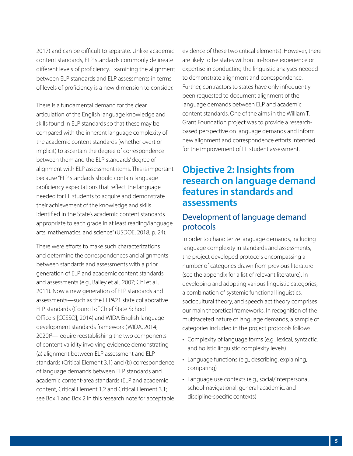2017) and can be difficult to separate. Unlike academic content standards, ELP standards commonly delineate different levels of proficiency. Examining the alignment between ELP standards and ELP assessments in terms of levels of proficiency is a new dimension to consider.

There is a fundamental demand for the clear articulation of the English language knowledge and skills found in ELP standards so that these may be compared with the inherent language complexity of the academic content standards (whether overt or implicit) to ascertain the degree of correspondence between them and the ELP standards' degree of alignment with ELP assessment items. This is important because "ELP standards should contain language proficiency expectations that reflect the language needed for EL students to acquire and demonstrate their achievement of the knowledge and skills identified in the State's academic content standards appropriate to each grade in at least reading/language arts, mathematics, and science" (USDOE, 2018, p. 24).

There were efforts to make such characterizations and determine the correspondences and alignments between standards and assessments with a prior generation of ELP and academic content standards and assessments (e.g., Bailey et al., 2007; Chi et al., 2011). Now a new generation of ELP standards and assessments—such as the ELPA21 state collaborative ELP standards (Council of Chief State School Officers [CCSSO], 2014) and WIDA English language development standards framework (WIDA, 2014, 2020)<sup>2</sup>—require reestablishing the two components of content validity involving evidence demonstrating (a) alignment between ELP assessment and ELP standards (Critical Element 3.1) and (b) correspondence of language demands between ELP standards and academic content-area standards (ELP and academic content, Critical Element 1.2 and Critical Element 3.1; see Box 1 and Box 2 in this research note for acceptable evidence of these two critical elements). However, there are likely to be states without in-house experience or expertise in conducting the linguistic analyses needed to demonstrate alignment and correspondence. Further, contractors to states have only infrequently been requested to document alignment of the language demands between ELP and academic content standards. One of the aims in the William T. Grant Foundation project was to provide a researchbased perspective on language demands and inform new alignment and correspondence efforts intended for the improvement of EL student assessment.

### **Objective 2: Insights from research on language demand features in standards and assessments**

### Development of language demand protocols

In order to characterize language demands, including language complexity in standards and assessments, the project developed protocols encompassing a number of categories drawn from previous literature (see the appendix for a list of relevant literature). In developing and adopting various linguistic categories, a combination of systemic functional linguistics, sociocultural theory, and speech act theory comprises our main theoretical frameworks. In recognition of the multifaceted nature of language demands, a sample of categories included in the project protocols follows:

- Complexity of language forms (e.g., lexical, syntactic, and holistic linguistic complexity levels)
- Language functions (e.g., describing, explaining, comparing)
- Language use contexts (e.g., social/interpersonal, school-navigational, general-academic, and discipline-specific contexts)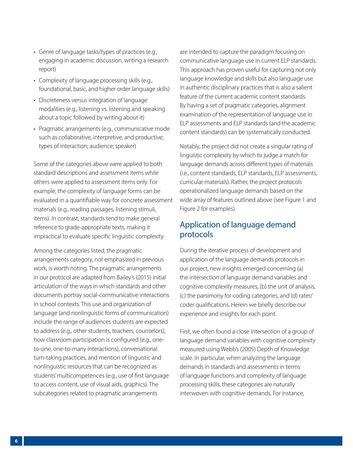- Genre of language tasks/types of practices (e.g., engaging in academic discussion, writing a research report)
- Complexity of language processing skills (e.g., foundational, basic, and higher order language skills)
- Discreteness versus integration of language modalities (e.g., listening vs. listening and speaking about a topic followed by writing about it)
- Pragmatic arrangements (e.g., communicative mode such as collaborative, interpretive, and productive; types of interaction; audience; speaker)

Some of the categories above were applied to both standard descriptions and assessment items while others were applied to assessment items only. For example, the complexity of language forms can be evaluated in a quantifiable way for concrete assessment materials (e.g., reading passages, listening stimuli, items). In contrast, standards tend to make general reference to grade-appropriate texts, making it impractical to evaluate specific linguistic complexity.

Among the categories listed, the pragmatic arrangements category, not emphasized in previous work, is worth noting. The pragmatic arrangements in our protocol are adapted from Bailey's (2015) initial articulation of the ways in which standards and other documents portray social-communicative interactions in school contexts. This use and organization of language (and nonlinguistic forms of communication) include the range of audiences students are expected to address (e.g., other students, teachers, counselors), how classroom participation is configured (e.g., oneto-one, one-to-many interactions), conversational turn-taking practices, and mention of linguistic and nonlinguistic resources that can be recognized as students' multicompetences (e.g., use of first language to access content, use of visual aids, graphics). The subcategories related to pragmatic arrangements

are intended to capture the paradigm focusing on communicative language use in current ELP standards. This approach has proven useful for capturing not only language knowledge and skills but also language use in authentic disciplinary practices that is also a salient feature of the current academic content standards. By having a set of pragmatic categories, alignment examination of the representation of language use in ELP assessments and ELP standards (and the academic content standards) can be systematically conducted.

Notably, the project did not create a singular rating of linguistic complexity by which to judge a match for language demands across different types of materials (i.e., content standards, ELP standards, ELP assessments, curricular materials). Rather, the project protocols operationalized language demands based on the wide array of features outlined above (see Figure 1 and Figure 2 for examples).

### Application of language demand protocols

During the iterative process of development and application of the language demands protocols in our project, new insights emerged concerning (a) the intersection of language demand variables and cognitive complexity measures, (b) the unit of analysis, (c) the parsimony for coding categories, and (d) rater/ coder qualifications. Herein we briefly describe our experience and insights for each point.

First, we often found a close intersection of a group of language demand variables with cognitive complexity measured using Webb's (2005) Depth of Knowledge scale. In particular, when analyzing the language demands in standards and assessments in terms of language functions and complexity of language processing skills, these categories are naturally interwoven with cognitive demands. For instance,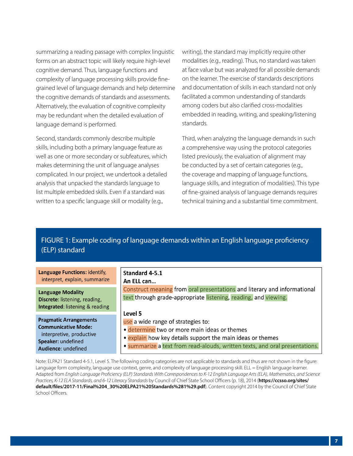summarizing a reading passage with complex linguistic forms on an abstract topic will likely require high-level cognitive demand. Thus, language functions and complexity of language processing skills provide finegrained level of language demands and help determine the cognitive demands of standards and assessments. Alternatively, the evaluation of cognitive complexity may be redundant when the detailed evaluation of language demand is performed.

Second, standards commonly describe multiple skills, including both a primary language feature as well as one or more secondary or subfeatures, which makes determining the unit of language analyses complicated. In our project, we undertook a detailed analysis that unpacked the standards language to list multiple embedded skills. Even if a standard was written to a specific language skill or modality (e.g.,

writing), the standard may implicitly require other modalities (e.g., reading). Thus, no standard was taken at face value but was analyzed for all possible demands on the learner. The exercise of standards descriptions and documentation of skills in each standard not only facilitated a common understanding of standards among coders but also clarified cross-modalities embedded in reading, writing, and speaking/listening standards.

Third, when analyzing the language demands in such a comprehensive way using the protocol categories listed previously, the evaluation of alignment may be conducted by a set of certain categories (e.g., the coverage and mapping of language functions, language skills, and integration of modalities). This type of fine-grained analysis of language demands requires technical training and a substantial time commitment.

### FIGURE 1: Example coding of language demands within an English language proficiency (ELP) standard

| Language Functions: identify,                                                                           | Standard 4-5.1                                                                                                                              |
|---------------------------------------------------------------------------------------------------------|---------------------------------------------------------------------------------------------------------------------------------------------|
| interpret, explain, summarize                                                                           | An ELL can                                                                                                                                  |
| <b>Language Modality</b><br>Discrete: listening, reading,<br><b>Integrated: listening &amp; reading</b> | Construct meaning from oral presentations and literary and informational<br>text through grade-appropriate listening, reading, and viewing. |
| <b>Pragmatic Arrangements</b>                                                                           | Level 5                                                                                                                                     |
| <b>Communicative Mode:</b>                                                                              | use a wide range of strategies to:                                                                                                          |
| interpretive, productive                                                                                | · determine two or more main ideas or themes                                                                                                |
| Speaker: undefined                                                                                      | · explain how key details support the main ideas or themes                                                                                  |
| Audience: undefined                                                                                     | · summarize a text from read-alouds, written texts, and oral presentations.                                                                 |

Note: ELPA21 Standard 4-5.1, Level 5. The following coding categories are not applicable to standards and thus are not shown in the figure: Language form complexity, language use context, genre, and complexity of language processing skill. ELL = English language learner. Adapted from *English Language Proficiency (ELP) Standards With Correspondences to K-12 English Language Arts (ELA), Mathematics, and Science Practices, K-12 ELA Standards, and 6-12 Literacy Standards* by Council of Chief State School Officers (p. 18), 2014 (**https://ccsso.org/sites/ default/files/2017-11/Final%204\_30%20ELPA21%20Standards%281%29.pdf**). Content copyright 2014 by the Council of Chief State School Officers.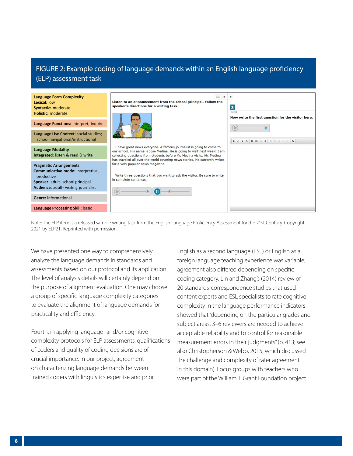### FIGURE 2: Example coding of language demands within an English language proficiency (ELP) assessment task

| <b>Language Form Complexity</b><br>Lexical: low                                                                                                              | ≡<br>$\leftarrow \rightarrow$<br>Listen to an announcement from the school principal. Follow the                                                                                                                                                                                                                                                                                                                                                                                                       |                                                                                               |
|--------------------------------------------------------------------------------------------------------------------------------------------------------------|--------------------------------------------------------------------------------------------------------------------------------------------------------------------------------------------------------------------------------------------------------------------------------------------------------------------------------------------------------------------------------------------------------------------------------------------------------------------------------------------------------|-----------------------------------------------------------------------------------------------|
| <b>Syntactic: moderate</b><br><b>Holistic: moderate</b>                                                                                                      | speaker's directions for a writing task.<br>I have great news everyone. A famous journalist is going to come to<br>our school. His name is Jose Medina. He is going to visit next week! I am<br>collecting questions from students before Mr. Medina visits. Mr. Medina<br>has traveled all over the world covering news stories. He currently writes<br>for a very popular news magazine.<br>Write three questions that you want to ask the visitor. Be sure to write<br>in complete sentences.<br>(b | $\overline{\mathbf{3}}$<br><b>GUEST</b><br>Now write the first question for the visitor here. |
| Language Functions: interpret, inquire                                                                                                                       |                                                                                                                                                                                                                                                                                                                                                                                                                                                                                                        |                                                                                               |
| Language Use Context: social studies;<br>school navigational/instructional                                                                                   |                                                                                                                                                                                                                                                                                                                                                                                                                                                                                                        |                                                                                               |
| <b>Language Modality</b><br><b>Integrated:</b> listen & read & write                                                                                         |                                                                                                                                                                                                                                                                                                                                                                                                                                                                                                        |                                                                                               |
| <b>Pragmatic Arrangements</b><br>Communicative mode: interpretive,<br>productive<br>Speaker: adult- school principal<br>Audience: adult- visiting journalist |                                                                                                                                                                                                                                                                                                                                                                                                                                                                                                        |                                                                                               |
| <b>Genre:</b> informational                                                                                                                                  |                                                                                                                                                                                                                                                                                                                                                                                                                                                                                                        |                                                                                               |
| <b>Language Processing Skill: basic</b>                                                                                                                      |                                                                                                                                                                                                                                                                                                                                                                                                                                                                                                        |                                                                                               |

Note: The ELP item is a released sample writing task from the English Language Proficiency Assessment for the 21st Century. Copyright 2021 by ELP21. Reprinted with permission.

We have presented one way to comprehensively analyze the language demands in standards and assessments based on our protocol and its application. The level of analysis details will certainly depend on the purpose of alignment evaluation. One may choose a group of specific language complexity categories to evaluate the alignment of language demands for practicality and efficiency.

Fourth, in applying language- and/or cognitivecomplexity protocols for ELP assessments, qualifications of coders and quality of coding decisions are of crucial importance. In our project, agreement on characterizing language demands between trained coders with linguistics expertise and prior

English as a second language (ESL) or English as a foreign language teaching experience was variable; agreement also differed depending on specific coding category. Lin and Zhang's (2014) review of 20 standards-correspondence studies that used content experts and ESL specialists to rate cognitive complexity in the language performance indicators showed that "depending on the particular grades and subject areas, 3–6 reviewers are needed to achieve acceptable reliability and to control for reasonable measurement errors in their judgments" (p. 413; see also Christopherson & Webb, 2015, which discussed the challenge and complexity of rater agreement in this domain). Focus groups with teachers who were part of the William T. Grant Foundation project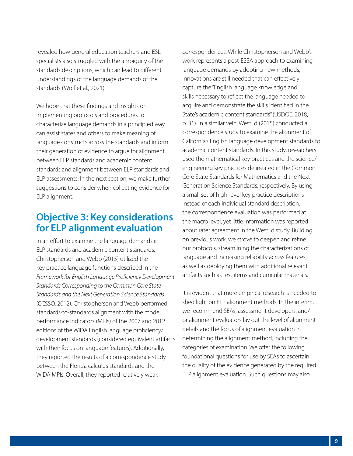revealed how general education teachers and ESL specialists also struggled with the ambiguity of the standards descriptions, which can lead to different understandings of the language demands of the standards (Wolf et al., 2021).

We hope that these findings and insights on implementing protocols and procedures to characterize language demands in a principled way can assist states and others to make meaning of language constructs across the standards and inform their generation of evidence to argue for alignment between ELP standards and academic content standards and alignment between ELP standards and ELP assessments. In the next section, we make further suggestions to consider when collecting evidence for ELP alignment.

### **Objective 3: Key considerations for ELP alignment evaluation**

In an effort to examine the language demands in ELP standards and academic content standards, Christopherson and Webb (2015) utilized the key practice language functions described in the *Framework for English Language Proficiency Development Standards Corresponding to the Common Core State Standards and the Next Generation Science Standards* (CCSSO, 2012). Christopherson and Webb performed standards-to-standards alignment with the model performance indicators (MPIs) of the 2007 and 2012 editions of the WIDA English language proficiency/ development standards (considered equivalent artifacts with their focus on language features). Additionally, they reported the results of a correspondence study between the Florida calculus standards and the WIDA MPIs. Overall, they reported relatively weak

correspondences. While Christopherson and Webb's work represents a post-ESSA approach to examining language demands by adopting new methods, innovations are still needed that can effectively capture the "English language knowledge and skills necessary to reflect the language needed to acquire and demonstrate the skills identified in the State's academic content standards" (USDOE, 2018, p. 31). In a similar vein, WestEd (2015) conducted a correspondence study to examine the alignment of California's English language development standards to academic content standards. In this study, researchers used the mathematical key practices and the science/ engineering key practices delineated in the Common Core State Standards for Mathematics and the Next Generation Science Standards, respectively. By using a small set of high-level key practice descriptions instead of each individual standard description, the correspondence evaluation was performed at the macro level, yet little information was reported about rater agreement in the WestEd study. Building on previous work, we strove to deepen and refine our protocols, streamlining the characterizations of language and increasing reliability across features, as well as deploying them with additional relevant artifacts such as test items and curricular materials.

It is evident that more empirical research is needed to shed light on ELP alignment methods. In the interim, we recommend SEAs, assessment developers, and/ or alignment evaluators lay out the level of alignment details and the focus of alignment evaluation in determining the alignment method, including the categories of examination. We offer the following foundational questions for use by SEAs to ascertain the quality of the evidence generated by the required ELP alignment evaluation. Such questions may also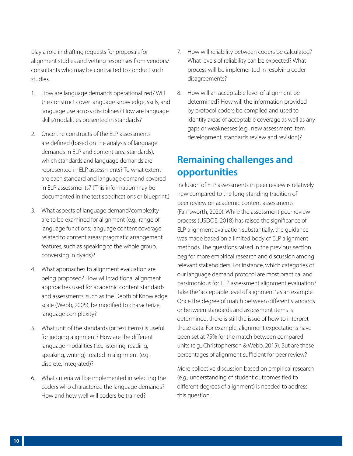play a role in drafting requests for proposals for alignment studies and vetting responses from vendors/ consultants who may be contracted to conduct such studies.

- 1. How are language demands operationalized? Will the construct cover language knowledge, skills, and language use across disciplines? How are language skills/modalities presented in standards?
- 2. Once the constructs of the ELP assessments are defined (based on the analysis of language demands in ELP and content-area standards), which standards and language demands are represented in ELP assessments? To what extent are each standard and language demand covered in ELP assessments? (This information may be documented in the test specifications or blueprint.)
- 3. What aspects of language demand/complexity are to be examined for alignment (e.g., range of language functions; language content coverage related to content areas; pragmatic arrangement features, such as speaking to the whole group, conversing in dyads)?
- 4. What approaches to alignment evaluation are being proposed? How will traditional alignment approaches used for academic content standards and assessments, such as the Depth of Knowledge scale (Webb, 2005), be modified to characterize language complexity?
- 5. What unit of the standards (or test items) is useful for judging alignment? How are the different language modalities (i.e., listening, reading, speaking, writing) treated in alignment (e.g., discrete, integrated)?
- 6. What criteria will be implemented in selecting the coders who characterize the language demands? How and how well will coders be trained?
- 7. How will reliability between coders be calculated? What levels of reliability can be expected? What process will be implemented in resolving coder disagreements?
- 8. How will an acceptable level of alignment be determined? How will the information provided by protocol coders be compiled and used to identify areas of acceptable coverage as well as any gaps or weaknesses (e.g., new assessment item development, standards review and revision)?

# **Remaining challenges and opportunities**

Inclusion of ELP assessments in peer review is relatively new compared to the long-standing tradition of peer review on academic content assessments (Farnsworth, 2020). While the assessment peer review process (USDOE, 2018) has raised the significance of ELP alignment evaluation substantially, the guidance was made based on a limited body of ELP alignment methods. The questions raised in the previous section beg for more empirical research and discussion among relevant stakeholders. For instance, which categories of our language demand protocol are most practical and parsimonious for ELP assessment alignment evaluation? Take the "acceptable level of alignment" as an example. Once the degree of match between different standards or between standards and assessment items is determined, there is still the issue of how to interpret these data. For example, alignment expectations have been set at 75% for the match between compared units (e.g., Christopherson & Webb, 2015). But are these percentages of alignment sufficient for peer review?

More collective discussion based on empirical research (e.g., understanding of student outcomes tied to different degrees of alignment) is needed to address this question.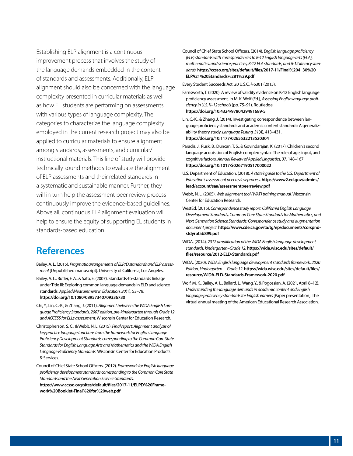Establishing ELP alignment is a continuous improvement process that involves the study of the language demands embedded in the content of standards and assessments. Additionally, ELP alignment should also be concerned with the language complexity presented in curricular materials as well as how EL students are performing on assessments with various types of language complexity. The categories to characterize the language complexity employed in the current research project may also be applied to curricular materials to ensure alignment among standards, assessments, and curricular/ instructional materials. This line of study will provide technically sound methods to evaluate the alignment of ELP assessments and their related standards in a systematic and sustainable manner. Further, they will in turn help the assessment peer review process continuously improve the evidence-based guidelines. Above all, continuous ELP alignment evaluation will help to ensure the equity of supporting EL students in standards-based education.

### **References**

- Bailey, A. L. (2015). *Pragmatic arrangements of ELP/D standards and ELP assessment* [Unpublished manuscript]. University of California, Los Angeles.
- Bailey, A. L., Butler, F. A., & Sato, E. (2007). Standards-to-standards linkage under Title III: Exploring common language demands in ELD and science standards. *Applied Measurement in Education, 20*(1), 53–78. **<https://doi.org/10.1080/08957340709336730>**
- Chi, Y., Lin, C.-K., & Zhang, J. (2011). *Alignment between the WIDA English Language Proficiency Standards, 2007 edition, pre-kindergarten through Grade 12 and ACCESS for ELLs assessment.* Wisconsin Center for Education Research.
- Christopherson, S. C., & Webb, N. L. (2015). *Final report: Alignment analysis of key practice language functions from the framework for English Language Proficiency Development Standards corresponding to the Common Core State Standards for English Language Arts and Mathematics and the WIDA English Language Proficiency Standards.* Wisconsin Center for Education Products & Services.
- Council of Chief State School Officers. (2012). *Framework for English language proficiency development standards corresponding to the Common Core State Standards and the Next Generation Science Standards.*  **[https://www.ccsso.org/sites/default/files/2017-11/ELPD%20Frame](https://www.ccsso.org/sites/default/files/2017-11/ELPD%20Framework%20Booklet-Final%20for%20web.pdf)work%20Booklet-Final%20for%20web.pdf**

Council of Chief State School Officers. (2014). *English language proficiency (ELP) standards with correspondences to K-12 English language arts (ELA), mathematics, and science practices, K-12 ELA standards, and 6-12 literacy standards.* **[https://ccsso.org/sites/default/files/2017-11/Final%204\\_30%20](https://ccsso.org/sites/default/files/2017-11/Final%204_30%20ELPA21%20Standards%281%29.pdf) ELPA21%20Standards%281%29.pdf**

Every Student Succeeds Act, 20 U.S.C. § 6301 (2015).

- Farnsworth, T. (2020). A review of validity evidence on K-12 English language proficiency assessment. In M. K. Wolf (Ed.), *Assessing English language proficiency in U.S. K–12 schools* (pp. 75–91). Routledge. **<https://doi.org/10.4324/9780429491689-5>**
- Lin, C.-K., & Zhang, J. (2014). Investigating correspondence between language proficiency standards and academic content standards: A generalizability theory study. *Language Testing, 31*(4), 413–431. **<https://doi.org/10.1177/0265532213520304>**
- Paradis, J., Rusk, B., Duncan, T. S., & Govindarajan, K. (2017). Children's second language acquisition of English complex syntax: The role of age, input, and cognitive factors. *Annual Review of Applied Linguistics, 37,* 148–167. **<https://doi.org/10.1017/S0267190517000022>**
- U.S. Department of Education. (2018). *A state's guide to the U.S. Department of Education's assessment peer review process.* **[https://www2.ed.gov/admins/](https://www2.ed.gov/admins/lead/account/saa/assessmentpeerreview.pdf) [lead/account/saa/assessmentpeerreview.pdf](https://www2.ed.gov/admins/lead/account/saa/assessmentpeerreview.pdf)**
- Webb, N. L. (2005). *Web alignment tool (WAT) training manual.* Wisconsin Center for Education Research.
- WestEd. (2015).*Correspondence study report: California English Language Development Standards, Common Core State Standards for Mathematics, and Next Generation Science Standards: Correspondence study and augmentation document project.* **[https://www.cde.ca.gov/ta/tg/ep/documents/corspnd](https://www.cde.ca.gov/ta/tg/ep/documents/corspndstdyrptab899.pdf)[stdyrptab899.pdf](https://www.cde.ca.gov/ta/tg/ep/documents/corspndstdyrptab899.pdf)**
- WIDA. (2014). *2012 amplification of the WIDA English language development standards, kindergarten–Grade 12.* **https://wida.wisc.edu/sites/default/ [files/resource/2012-ELD-Standards.pdf](https://wida.wisc.edu/sites/default/files/resource/2012-ELD-Standards.pdf)**
- WIDA. (2020). *WIDA English language development standards framework, 2020 Edition, kindergarten—Grade 12.***[https://wida.wisc.edu/sites/default/files/](https://wida.wisc.edu/sites/default/files/resource/WIDA-ELD-Standards-Framework-2020.pdf) [resource/WIDA-ELD-Standards-Framework-2020.pdf](https://wida.wisc.edu/sites/default/files/resource/WIDA-ELD-Standards-Framework-2020.pdf)**
- Wolf, M. K., Bailey, A. L., Ballard, L., Wang, Y., & Pogossian, A. (2021, April 8–12). *Understanding the language demands in academic content and English language proficiency standards for English earners* [Paper presentation]. The virtual annual meeting of the American Educational Research Association.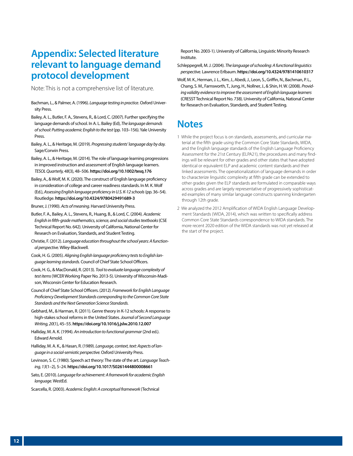### **Appendix: Selected literature relevant to language demand protocol development**

Note: This is not a comprehensive list of literature.

- Bachman, L., & Palmer, A. (1996). *Language testing in practice*. Oxford University Press.
- Bailey, A. L., Butler, F. A., Stevens, R., & Lord, C. (2007). Further specifying the language demands of school. In A. L. Bailey (Ed), *The language demands of school: Putting academic English to the test* (pp. 103–156). Yale University Press.
- Bailey, A. L., & Heritage, M. (2019). *Progressing students' language day by day.*  Sage/Corwin Press.
- Bailey, A. L., & Heritage, M. (2014). The role of language learning progressions in improved instruction and assessment of English language learners. *TESOL Quarterly, 48*(3), 48–506. **<https://doi.org/10.1002/tesq.176>**
- Bailey, A., & Wolf, M. K. (2020). The construct of English language proficiency in consideration of college and career readiness standards. In M. K. Wolf (Ed.), *Assessing English language proficiency in U.S. K-12 schools* (pp. 36–54). Routledge. **<https://doi.org/10.4324/9780429491689-3>**
- Bruner, J. (1990). *Acts of meaning*. Harvard University Press.
- Butler, F. A., Bailey, A. L., Stevens, R., Huang, B., & Lord, C. (2004). *Academic English in fifth-grade mathematics, science, and social studies textbooks* (CSE Technical Report No. 642). University of California, National Center for Research on Evaluation, Standards, and Student Testing.
- Christie, F. (2012). *Language education throughout the school years: A functional perspective.* Wiley-Blackwell.
- Cook, H. G. (2005). *Aligning English language proficiency tests to English language learning standards.* Council of Chief State School Officers.
- Cook, H. G., & MacDonald, R. (2013). *Tool to evaluate language complexity of test items* (WCER Working Paper No. 2013-5). University of Wisconsin-Madison, Wisconsin Center for Education Research.
- Council of Chief State School Officers. (2012). *Framework for English Language Proficiency Development Standards corresponding to the Common Core State Standards and the Next Generation Science Standards.*
- Gebhard, M., & Harman, R. (2011). Genre theory in K-12 schools: A response to high-stakes school reforms in the United States. *Journal of Second Language Writing, 20*(1), 45–55. **<https://doi.org/10.1016/j.jslw.2010.12.007>**
- Halliday, M. A. K. (1994). *An introduction to functional grammar* (2nd ed.). Edward Arnold.
- Halliday, M. A. K., & Hasan, R. (1989). *Language, context, text: Aspects of language in a social-semiotic perspective.* Oxford University Press.
- Levinson, S. C. (1980). Speech act theory: The state of the art. *Language Teaching, 13*(1–2), 5–24. **<https://doi.org/10.1017/S0261444800008661>**
- Sato, E. (2010). *Language for achievement: A framework for academic English language.* WestEd.

Scarcella, R. (2003). *Academic English: A conceptual framework* (Technical

Report No. 2003-1). University of California, Linguistic Minority Research Institute.

- Schleppegrell, M. J. (2004). *The language of schooling: A functional linguistics perspective.* Lawrence Erlbaum. **<https://doi.org/10.4324/9781410610317>**
- Wolf, M. K., Herman, J. L., Kim, J., Abedi, J., Leon, S., Griffin, N., Bachman, P. L., Chang, S. M., Farnsworth, T., Jung, H., Nollner, J., & Shin, H. W. (2008). *Providing validity evidence to improve the assessment of English language learners*  (CRESST Technical Report No. 738). University of California, National Center for Research on Evaluation, Standards, and Student Testing.

### **Notes**

- 1 While the project focus is on standards, assessments, and curricular material at the fifth grade using the Common Core State Standards, WIDA, and the English language standards of the English Language Proficiency Assessment for the 21st Century (ELPA21), the procedures and many findings will be relevant for other grades and other states that have adopted identical or equivalent ELP and academic content standards and their linked assessments. The operationalization of language demands in order to characterize linguistic complexity at fifth grade can be extended to other grades given the ELP standards are formulated in comparable ways across grades and are largely representative of progressively sophisticated examples of many similar language constructs spanning kindergarten through 12th grade.
- 2 We analyzed the 2012 Amplification of WIDA English Language Development Standards (WIDA, 2014), which was written to specifically address Common Core State Standards correspondence to WIDA standards. The more recent 2020 edition of the WIDA standards was not yet released at the start of the project.